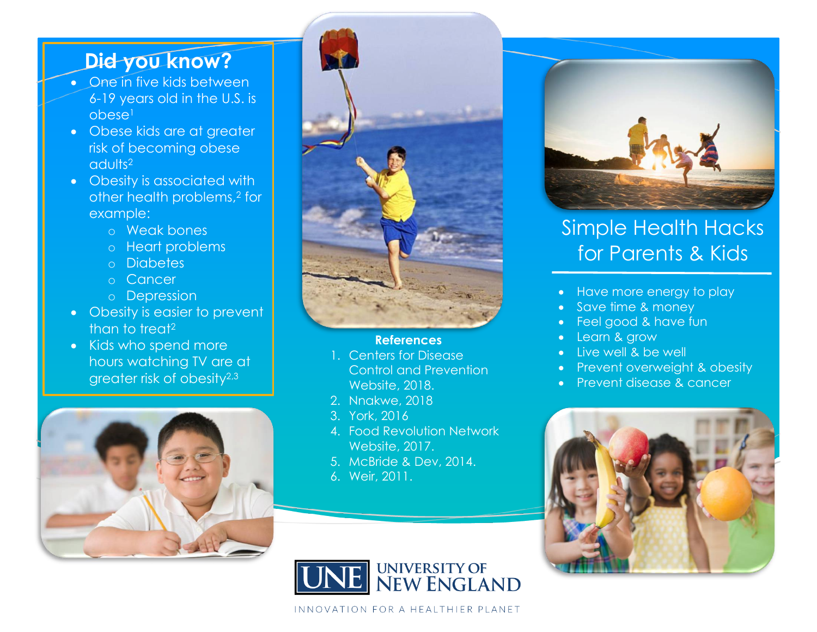## **Did you know?**

- One in five kids between 6-19 years old in the U.S. is obese 1
- Obese kids are at greater risk of becoming obese adults 2
- Obesity is associated with other health problems, <sup>2</sup> for example:
	- o Weak bones
	- o Heart problems
	- o Diabetes
	- o Cancer
	- o Depression
- Obesity is easier to prevent than to treat<sup>2</sup>
- Kids who spend more hours watching TV are at greater risk of obesity 2,3





#### **References**

- 1. Centers for Disease Control and Prevention Website, 2018.
- 2. Nnakwe, 2018
- 3. York, 2016
- 4. Food Revolution Network Website, 2017.
- 5. McBride & Dev, 2014.
- 6. Weir, 2011.



## Simple Health Hacks for Parents & Kids

- Have more energy to play
- Save time & money
- Feel good & have fun
- Learn & grow
- Live well & be well
- Prevent overweight & obesity
- Prevent disease & cancer





INNOVATION FOR A HEALTHIER PLANET